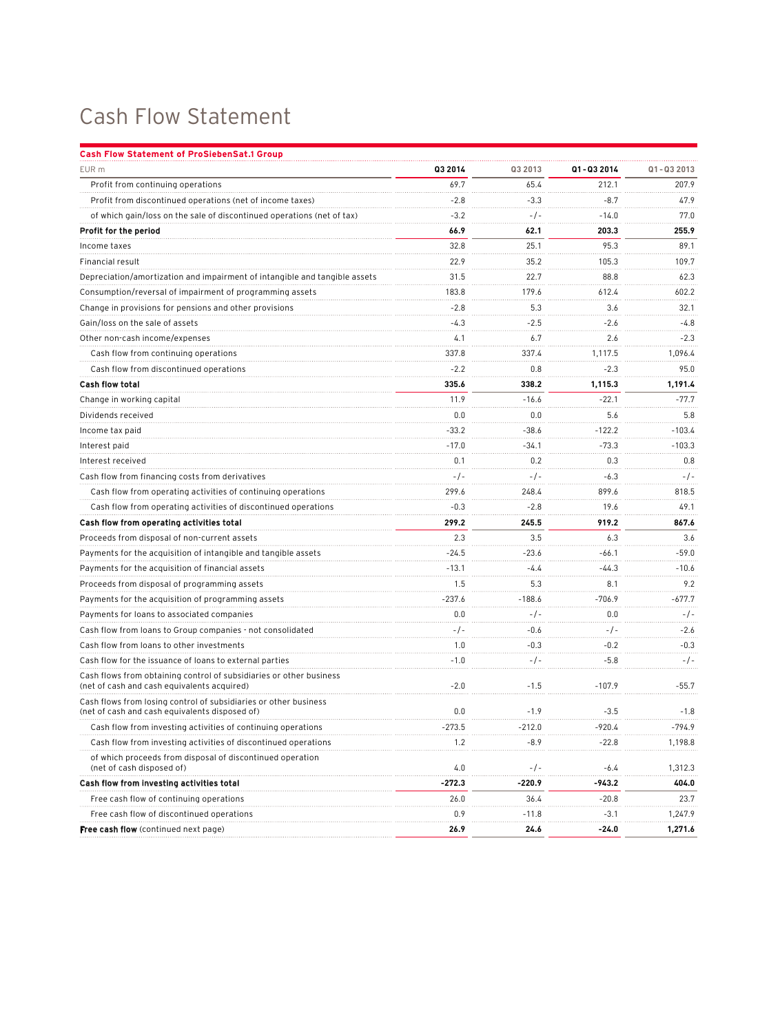## Cash Flow Statement

| <b>Cash Flow Statement of ProSiebenSat.1 Group</b>                                                                 |          |          |            |            |
|--------------------------------------------------------------------------------------------------------------------|----------|----------|------------|------------|
| EUR m                                                                                                              | Q3 2014  | Q3 2013  | Q1-Q3 2014 | Q1-Q3 2013 |
| Profit from continuing operations                                                                                  | 69.7     | 65.4     | 212.1      | 207.9      |
| Profit from discontinued operations (net of income taxes)                                                          | $-2.8$   | $-3.3$   | $-8.7$     | 47.9       |
| of which gain/loss on the sale of discontinued operations (net of tax)                                             | $-3.2$   | $-/-$    | $-14.0$    | 77.0       |
| Profit for the period                                                                                              | 66.9     | 62.1     | 203.3      | 255.9      |
| Income taxes                                                                                                       | 32.8     | 25.1     | 95.3       | 89.1       |
| Financial result                                                                                                   | 22.9     | 35.2     | 105.3      | 109.7      |
| Depreciation/amortization and impairment of intangible and tangible assets                                         | 31.5     | 22.7     | 88.8       | 62.3       |
| Consumption/reversal of impairment of programming assets                                                           | 183.8    | 179.6    | 612.4      | 602.2      |
| Change in provisions for pensions and other provisions                                                             | $-2.8$   | 5.3      | 3.6        | 32.1       |
| Gain/loss on the sale of assets                                                                                    | $-4.3$   | $-2.5$   | $-2.6$     | -4.8       |
| Other non-cash income/expenses                                                                                     | 4.1      | 6.7      | 2.6        | $-2.3$     |
| Cash flow from continuing operations                                                                               | 337.8    | 337.4    | 1,117.5    | 1,096.4    |
| Cash flow from discontinued operations                                                                             | $-2.2$   | 0.8      | $-2.3$     | 95.0       |
| <b>Cash flow total</b>                                                                                             | 335.6    | 338.2    | 1,115.3    | 1,191.4    |
| Change in working capital                                                                                          | 11.9     | $-16.6$  | $-22.1$    | $-77.7$    |
| Dividends received                                                                                                 | 0.0      | 0.0      | 5.6        | 5.8        |
| Income tax paid                                                                                                    | $-33.2$  | -38.6    | $-122.2$   | -103.4     |
| Interest paid                                                                                                      | $-17.0$  | $-34.1$  | $-73.3$    | $-103.3$   |
| Interest received                                                                                                  | 0.1      | 0.2      | 0.3        | 0.8        |
| Cash flow from financing costs from derivatives                                                                    | $-/-$    | $-/-$    | $-6.3$     | $-/-$      |
| Cash flow from operating activities of continuing operations                                                       | 299.6    | 248.4    | 899.6      | 818.5      |
| Cash flow from operating activities of discontinued operations                                                     | $-0.3$   | $-2.8$   | 19.6       | 49.1       |
| Cash flow from operating activities total                                                                          | 299.2    | 245.5    | 919.2      | 867.6      |
| Proceeds from disposal of non-current assets                                                                       | 2.3      | 3.5      | 6.3        | 3.6        |
| Payments for the acquisition of intangible and tangible assets                                                     | $-24.5$  | -23.6    | $-66.1$    | $-59.0$    |
| Payments for the acquisition of financial assets                                                                   | $-13.1$  | $-4.4$   | $-44.3$    | $-10.6$    |
| Proceeds from disposal of programming assets                                                                       | 1.5      | 5.3      | 8.1        | 9.2        |
| Payments for the acquisition of programming assets                                                                 | $-237.6$ | $-188.6$ | $-706.9$   | -677.7     |
| Payments for loans to associated companies                                                                         | 0.0      | $-/-$    | 0.0        | $-/-$      |
| Cash flow from loans to Group companies - not consolidated                                                         | -/-      | $-0.6$   | $-/-$      | $-2.6$     |
| Cash flow from loans to other investments                                                                          | 1.0      | $-0.3$   | $-0.2$     | $-0.3$     |
| Cash flow for the issuance of loans to external parties                                                            | $-1.0$   | $-/-$    | $-5.8$     | $-/-$      |
| Cash flows from obtaining control of subsidiaries or other business<br>(net of cash and cash equivalents acquired) | $-2.0$   | $-1.5$   | $-107.9$   | $-55.7$    |
| Cash flows from losing control of subsidiaries or other business<br>(net of cash and cash equivalents disposed of) | 0.0      | $-1.9$   | $-3.5$     | $-1.8$     |
| Cash flow from investing activities of continuing operations                                                       | -273.5   | $-212.0$ | $-920.4$   | $-794.9$   |
| Cash flow from investing activities of discontinued operations                                                     | 1.2      | -8.9     | $-22.8$    | 1,198.8    |
| of which proceeds from disposal of discontinued operation<br>(net of cash disposed of)                             | 4.0      | $-/-$    | $-6.4$     | 1,312.3    |
| Cash flow from investing activities total                                                                          | $-272.3$ | $-220.9$ | -943.2     | 404.0      |
| Free cash flow of continuing operations                                                                            | 26.0     | 36.4     | $-20.8$    | 23.7       |
| Free cash flow of discontinued operations                                                                          | 0.9      | -11.8    | $-3.1$     | 1,247.9    |
| <b>Free cash flow</b> (continued next page)                                                                        | 26.9     | 24.6     | $-24.0$    | 1,271.6    |